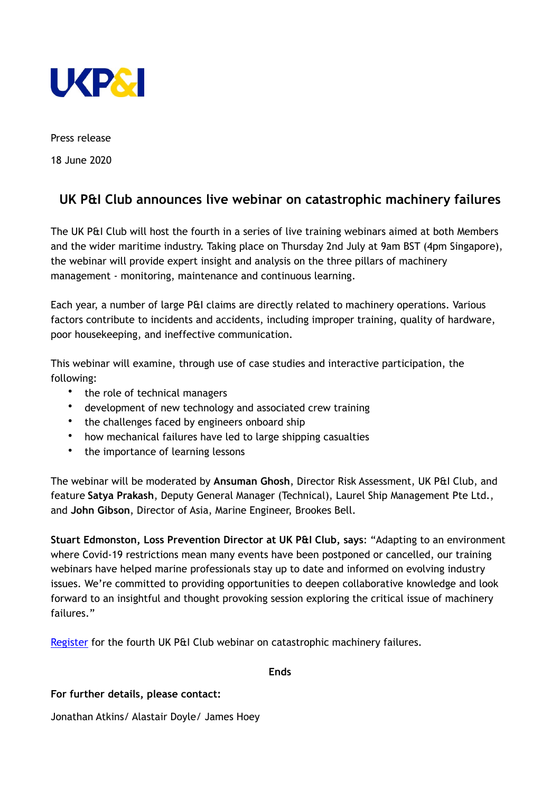

Press release 18 June 2020

# **UK P&I Club announces live webinar on catastrophic machinery failures**

The UK P&I Club will host the fourth in a series of live training webinars aimed at both Members and the wider maritime industry. Taking place on Thursday 2nd July at 9am BST (4pm Singapore), the webinar will provide expert insight and analysis on the three pillars of machinery management - monitoring, maintenance and continuous learning.

Each year, a number of large P&I claims are directly related to machinery operations. Various factors contribute to incidents and accidents, including improper training, quality of hardware, poor housekeeping, and ineffective communication.

This webinar will examine, through use of case studies and interactive participation, the following:

- the role of technical managers
- development of new technology and associated crew training
- the challenges faced by engineers onboard ship
- how mechanical failures have led to large shipping casualties
- the importance of learning lessons

The webinar will be moderated by **Ansuman Ghosh**, Director Risk Assessment, UK P&I Club, and feature **Satya Prakash**, Deputy General Manager (Technical), Laurel Ship Management Pte Ltd., and **John Gibson**, Director of Asia, Marine Engineer, Brookes Bell.

**Stuart Edmonston, Loss Prevention Director at UK P&I Club, says**: "Adapting to an environment where Covid-19 restrictions mean many events have been postponed or cancelled, our training webinars have helped marine professionals stay up to date and informed on evolving industry issues. We're committed to providing opportunities to deepen collaborative knowledge and look forward to an insightful and thought provoking session exploring the critical issue of machinery failures."

[Register](https://bit.ly/2ziQe7Q) for the fourth UK P&I Club webinar on catastrophic machinery failures.

**Ends** 

# **For further details, please contact:**

Jonathan Atkins/ Alastair Doyle/ James Hoey